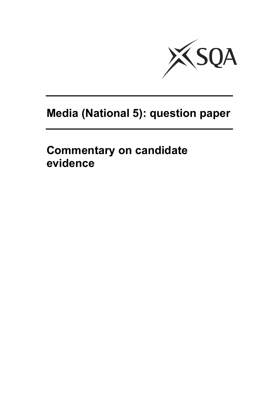

# **Media (National 5): question paper**

**Commentary on candidate evidence**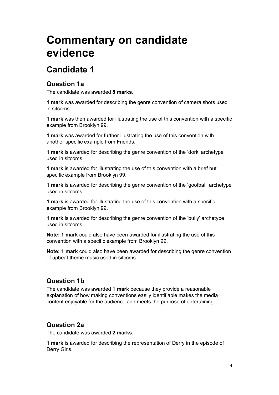# **Commentary on candidate evidence**

# **Candidate 1**

## **Question 1a**

The candidate was awarded **8 marks.** 

**1 mark** was awarded for describing the genre convention of camera shots used in sitcoms.

**1 mark** was then awarded for illustrating the use of this convention with a specific example from Brooklyn 99.

**1 mark** was awarded for further illustrating the use of this convention with another specific example from Friends.

**1 mark** is awarded for describing the genre convention of the 'dork' archetype used in sitcoms.

**1 mark** is awarded for illustrating the use of this convention with a brief but specific example from Brooklyn 99.

**1 mark** is awarded for describing the genre convention of the 'goofball' archetype used in sitcoms.

**1 mark** is awarded for illustrating the use of this convention with a specific example from Brooklyn 99.

**1 mark** is awarded for describing the genre convention of the 'bully' archetype used in sitcoms.

**Note: 1 mark** could also have been awarded for illustrating the use of this convention with a specific example from Brooklyn 99.

**Note: 1 mark** could also have been awarded for describing the genre convention of upbeat theme music used in sitcoms.

## **Question 1b**

The candidate was awarded **1 mark** because they provide a reasonable explanation of how making conventions easily identifiable makes the media content enjoyable for the audience and meets the purpose of entertaining.

# **Question 2a**

The candidate was awarded **2 marks**.

**1 mark** is awarded for describing the representation of Derry in the episode of Derry Girls.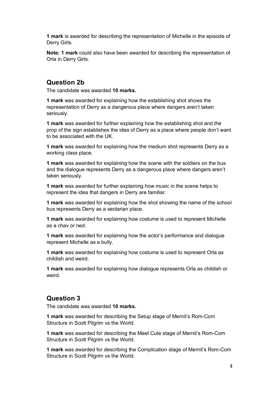**1 mark** is awarded for describing the representation of Michelle in the episode of Derry Girls.

**Note: 1 mark** could also have been awarded for describing the representation of Orla in Derry Girls.

#### **Question 2b**

The candidate was awarded **10 marks.** 

**1 mark** was awarded for explaining how the establishing shot shows the representation of Derry as a dangerous place where dangers aren't taken seriously.

**1 mark** was awarded for further explaining how the establishing shot and the prop of the sign establishes the idea of Derry as a place where people don't want to be associated with the UK.

**1 mark** was awarded for explaining how the medium shot represents Derry as a working class place.

**1 mark** was awarded for explaining how the scene with the soldiers on the bus and the dialogue represents Derry as a dangerous place where dangers aren't taken seriously.

**1 mark** was awarded for further explaining how music in the scene helps to represent the idea that dangers in Derry are familiar.

**1 mark** was awarded for explaining how the shot showing the name of the school bus represents Derry as a sectarian place.

**1 mark** was awarded for explaining how costume is used to represent Michelle as a chav or ned.

**1 mark** was awarded for explaining how the actor's performance and dialogue represent Michelle as a bully.

**1 mark** was awarded for explaining how costume is used to represent Orla as childish and weird.

**1 mark** was awarded for explaining how dialogue represents Orla as childish or weird.

#### **Question 3**

The candidate was awarded **10 marks.**

**1 mark** was awarded for describing the Setup stage of Mernit's Rom-Com Structure in Scott Pilgrim vs the World.

**1 mark** was awarded for describing the Meet Cute stage of Mernit's Rom-Com Structure in Scott Pilgrim vs the World.

**1 mark** was awarded for describing the Complication stage of Mernit's Rom-Com Structure in Scott Pilgrim vs the World.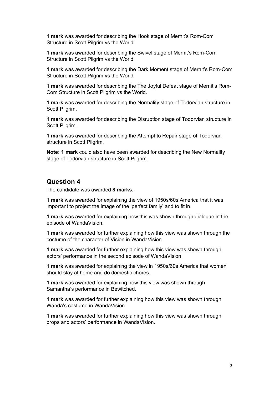**1 mark** was awarded for describing the Hook stage of Mernit's Rom-Com Structure in Scott Pilgrim vs the World.

**1 mark** was awarded for describing the Swivel stage of Mernit's Rom-Com Structure in Scott Pilgrim vs the World.

**1 mark** was awarded for describing the Dark Moment stage of Mernit's Rom-Com Structure in Scott Pilgrim vs the World.

**1 mark** was awarded for describing the The Joyful Defeat stage of Mernit's Rom-Com Structure in Scott Pilgrim vs the World.

**1 mark** was awarded for describing the Normality stage of Todorvian structure in Scott Pilgrim.

**1 mark** was awarded for describing the Disruption stage of Todorvian structure in Scott Pilgrim.

**1 mark** was awarded for describing the Attempt to Repair stage of Todorvian structure in Scott Pilgrim.

**Note: 1 mark** could also have been awarded for describing the New Normality stage of Todorvian structure in Scott Pilgrim.

#### **Question 4**

The candidate was awarded **8 marks.** 

**1 mark** was awarded for explaining the view of 1950s/60s America that it was important to project the image of the 'perfect family' and to fit in.

**1 mark** was awarded for explaining how this was shown through dialogue in the episode of WandaVision.

**1 mark** was awarded for further explaining how this view was shown through the costume of the character of Vision in WandaVision.

**1 mark** was awarded for further explaining how this view was shown through actors' performance in the second episode of WandaVision.

**1 mark** was awarded for explaining the view in 1950s/60s America that women should stay at home and do domestic chores.

**1 mark** was awarded for explaining how this view was shown through Samantha's performance in Bewitched.

**1 mark** was awarded for further explaining how this view was shown through Wanda's costume in WandaVision.

**1 mark** was awarded for further explaining how this view was shown through props and actors' performance in WandaVision.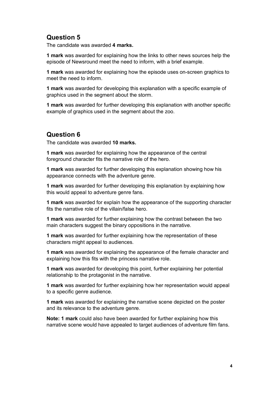# **Question 5**

The candidate was awarded **4 marks.** 

**1 mark** was awarded for explaining how the links to other news sources help the episode of Newsround meet the need to inform, with a brief example.

**1 mark** was awarded for explaining how the episode uses on-screen graphics to meet the need to inform.

**1 mark** was awarded for developing this explanation with a specific example of graphics used in the segment about the storm.

**1 mark** was awarded for further developing this explanation with another specific example of graphics used in the segment about the zoo.

## **Question 6**

The candidate was awarded **10 marks.**

**1 mark** was awarded for explaining how the appearance of the central foreground character fits the narrative role of the hero.

**1 mark** was awarded for further developing this explanation showing how his appearance connects with the adventure genre.

**1 mark** was awarded for further developing this explanation by explaining how this would appeal to adventure genre fans.

**1 mark** was awarded for explain how the appearance of the supporting character fits the narrative role of the villain/false hero.

**1 mark** was awarded for further explaining how the contrast between the two main characters suggest the binary oppositions in the narrative.

**1 mark** was awarded for further explaining how the representation of these characters might appeal to audiences.

**1 mark** was awarded for explaining the appearance of the female character and explaining how this fits with the princess narrative role.

**1 mark** was awarded for developing this point, further explaining her potential relationship to the protagonist in the narrative.

**1 mark** was awarded for further explaining how her representation would appeal to a specific genre audience.

**1 mark** was awarded for explaining the narrative scene depicted on the poster and its relevance to the adventure genre.

**Note: 1 mark** could also have been awarded for further explaining how this narrative scene would have appealed to target audiences of adventure film fans.